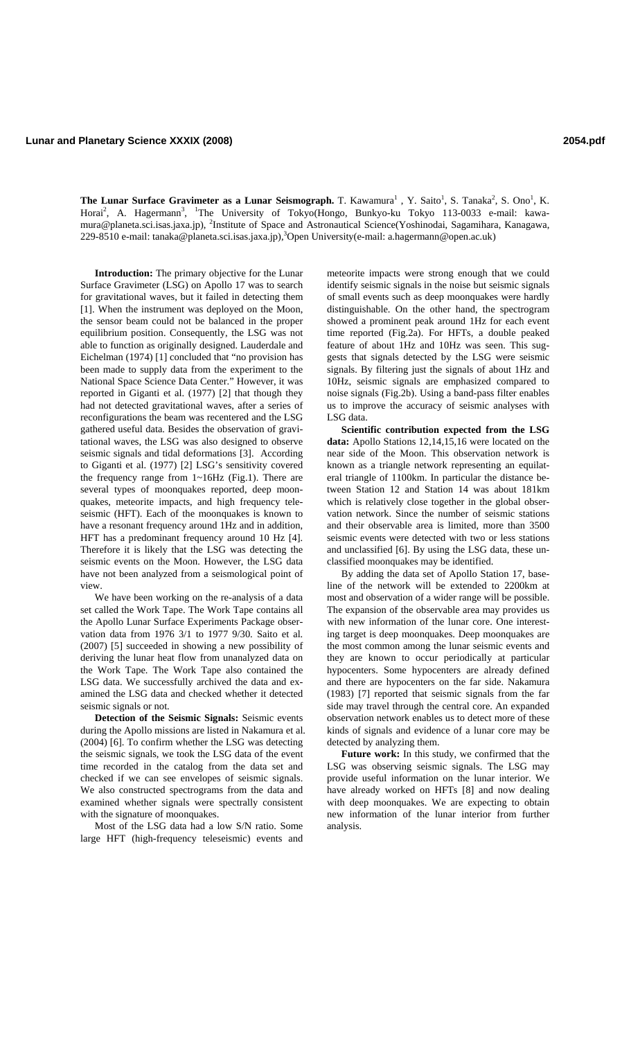**The Lunar Surface Gravimeter as a Lunar Seismograph.** T. Kawamura<sup>1</sup>, Y. Saito<sup>1</sup>, S. Tanaka<sup>2</sup>, S. Ono<sup>1</sup>, K. Horai<sup>2</sup>, A. Hagermann<sup>3</sup>, <sup>1</sup>The University of Tokyo(Hongo, Bunkyo-ku Tokyo 113-0033 e-mail: kawamura@planeta.sci.isas.jaxa.jp), <sup>2</sup>Institute of Space and Astronautical Science(Yoshinodai, Sagamihara, Kanagawa, 229-8510 e-mail: tanaka@planeta.sci.isas.jaxa.jp),<sup>3</sup>Open University(e-mail: a.hagermann@open.ac.uk)

**Introduction:** The primary objective for the Lunar Surface Gravimeter (LSG) on Apollo 17 was to search for gravitational waves, but it failed in detecting them [1]. When the instrument was deployed on the Moon, the sensor beam could not be balanced in the proper equilibrium position. Consequently, the LSG was not able to function as originally designed. Lauderdale and Eichelman (1974) [1] concluded that "no provision has been made to supply data from the experiment to the National Space Science Data Center." However, it was reported in Giganti et al. (1977) [2] that though they had not detected gravitational waves, after a series of reconfigurations the beam was recentered and the LSG gathered useful data. Besides the observation of gravitational waves, the LSG was also designed to observe seismic signals and tidal deformations [3]. According to Giganti et al. (1977) [2] LSG's sensitivity covered the frequency range from 1~16Hz (Fig.1). There are several types of moonquakes reported, deep moonquakes, meteorite impacts, and high frequency teleseismic (HFT). Each of the moonquakes is known to have a resonant frequency around 1Hz and in addition, HFT has a predominant frequency around 10 Hz [4]. Therefore it is likely that the LSG was detecting the seismic events on the Moon. However, the LSG data have not been analyzed from a seismological point of view.

We have been working on the re-analysis of a data set called the Work Tape. The Work Tape contains all the Apollo Lunar Surface Experiments Package observation data from 1976 3/1 to 1977 9/30. Saito et al. (2007) [5] succeeded in showing a new possibility of deriving the lunar heat flow from unanalyzed data on the Work Tape. The Work Tape also contained the LSG data. We successfully archived the data and examined the LSG data and checked whether it detected seismic signals or not.

**Detection of the Seismic Signals:** Seismic events during the Apollo missions are listed in Nakamura et al. (2004) [6]. To confirm whether the LSG was detecting the seismic signals, we took the LSG data of the event time recorded in the catalog from the data set and checked if we can see envelopes of seismic signals. We also constructed spectrograms from the data and examined whether signals were spectrally consistent with the signature of moonquakes.

Most of the LSG data had a low S/N ratio. Some large HFT (high-frequency teleseismic) events and

meteorite impacts were strong enough that we could identify seismic signals in the noise but seismic signals of small events such as deep moonquakes were hardly distinguishable. On the other hand, the spectrogram showed a prominent peak around 1Hz for each event time reported (Fig.2a). For HFTs, a double peaked feature of about 1Hz and 10Hz was seen. This suggests that signals detected by the LSG were seismic signals. By filtering just the signals of about 1Hz and 10Hz, seismic signals are emphasized compared to noise signals (Fig.2b). Using a band-pass filter enables us to improve the accuracy of seismic analyses with LSG data.

**Scientific contribution expected from the LSG**  data: Apollo Stations 12,14,15,16 were located on the near side of the Moon. This observation network is known as a triangle network representing an equilateral triangle of 1100km. In particular the distance between Station 12 and Station 14 was about 181km which is relatively close together in the global observation network. Since the number of seismic stations and their observable area is limited, more than 3500 seismic events were detected with two or less stations and unclassified [6]. By using the LSG data, these unclassified moonquakes may be identified.

By adding the data set of Apollo Station 17, baseline of the network will be extended to 2200km at most and observation of a wider range will be possible. The expansion of the observable area may provides us with new information of the lunar core. One interesting target is deep moonquakes. Deep moonquakes are the most common among the lunar seismic events and they are known to occur periodically at particular hypocenters. Some hypocenters are already defined and there are hypocenters on the far side. Nakamura (1983) [7] reported that seismic signals from the far side may travel through the central core. An expanded observation network enables us to detect more of these kinds of signals and evidence of a lunar core may be detected by analyzing them.

**Future work:** In this study, we confirmed that the LSG was observing seismic signals. The LSG may provide useful information on the lunar interior. We have already worked on HFTs [8] and now dealing with deep moonquakes. We are expecting to obtain new information of the lunar interior from further analysis.